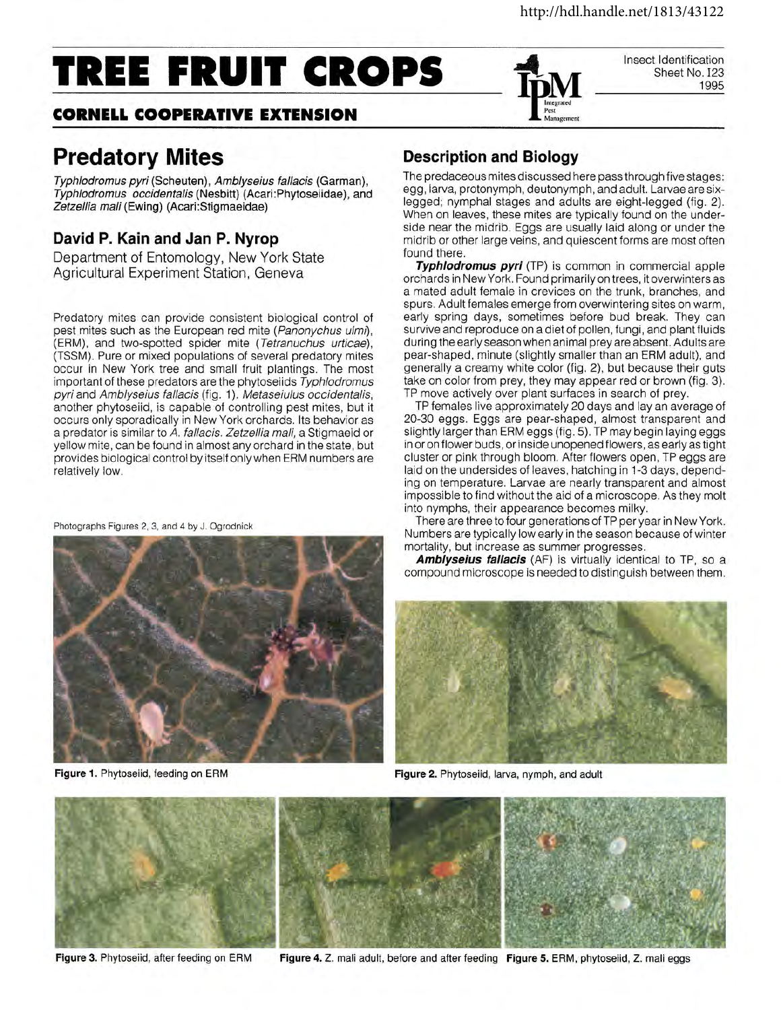Insect Identification Sheet No. I23 1995

# *TREE FRUIT CROPS*

## **CORNELL COOPERATIVE EXTENSION**

# **Predatory Mites**

Typhlodromus pyri (Scheuten), Amblyseius fallacis (Garman), Typhlodromus occidentalis (Nesbitt) (Acari:Phytoseiidae), and Zetzellia mali (Ewing) (Acari:Stigmaeidae)

#### **David P. Kain and Jan P. Nyrop**

Department of Entomology, New York State Agricultural Experiment Station, Geneva

Predatory mites can provide consistent biological control of pest mites such as the European red mite (Panonychus ulmi), (ERM), and two-spotted spider mite (Tetranuchus urticae), (TSSM). Pure or mixed populations of several predatory mites occur in New York tree and small fruit plantings. The most important of these predators are the phytoseiids Typhlodromus pyri and Amblyseius fallacis (fig. 1). Metaseiulus occidentalis, another phytoseiid, is capable of controlling pest mites, but it occurs only sporadically in New York orchards. Its behavior as a predator is similar to A. fallacis. Zetzellia mali, a Stigmaeid or yellow mite, can be found in almost any orchard in the state, but provides biological control by itself only when ERM numbers are relatively low.

Photographs Figures 2, 3, and 4 by J. Ogrodnick



**Figure 1.** Phytoseiid, feeding on ERM

### **Description and Biology**

The predaceous mites discussed here pass through five stages: egg, larva, protonymph, deutonymph, and adult. Larvae are sixlegged; nymphal stages and adults are eight-legged (fig. 2). When on leaves, these mites are typically found on the underside near the midrib. Eggs are usually laid along or under the midrib or other large veins, and quiescent forms are most often found there.

est Management

**Typhlodromus pyri** (TP) is common in commercial apple orchards in New York. Found primarily on trees, it overwinters as a mated adult female in crevices on the trunk, branches, and spurs. Adult females emerge from overwintering sites on warm, early spring days, sometimes before bud break. They can survive and reproduce on a diet of pollen, fungi, and plant fluids during the early season when animal prey are absent. Adults are pear-shaped, minute (slightly smaller than an ERM adult), and generally a creamy white color (fig. 2), but because their guts take on color from prey, they may appear red or brown (fig. 3). TP move actively over plant surfaces in search of prey.

TP females live approximately 20 days and lay an average of 20-30 eggs. Eggs are pear-shaped, almost transparent and slightly larger than ERM eggs (fig. 5). TP may begin laying eggs in or on flower buds, or inside unopened flowers, as early as tight cluster or pink through bloom. After flowers open, TP eggs are laid on the undersides of leaves, hatching in 1-3 days, depending on temperature. Larvae are nearly transparent and almost impossible to find without the aid of a microscope. As they molt into nymphs, their appearance becomes milky.

There are three to four generations of TP per year in New York. Numbers are typically low early in the season because of winter mortality, but increase as summer progresses.

**Amblyseius fallacis** (AF) is virtually identical to TP, so a compound microscope is needed to distinguish between them.



**Figure 2.** Phytoseiid, larva, nymph, and adult



**Figure** 3. Phytoseiid, after feeding on ERM **Figure 4.** Z. mali adult, before and after feeding **Figure 5.** ERM, phytoseiid, Z. mali eggs